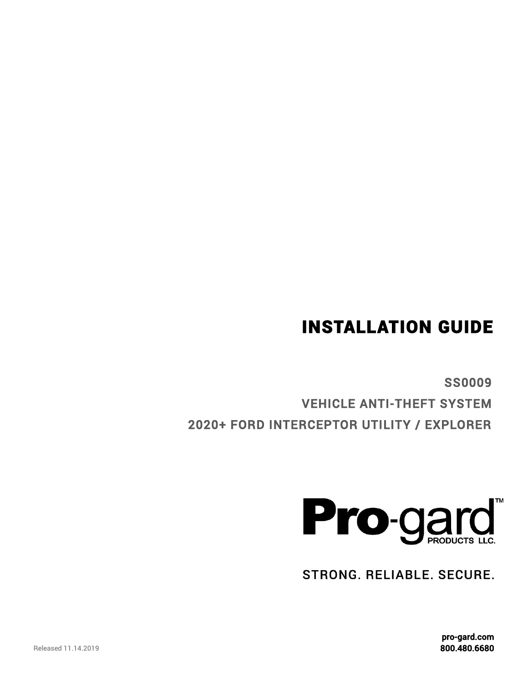SS0009

STRONG. RELIABLE. SECURE.



VEHICLE ANTI-THEFT SYSTEM 2020+ FORD INTERCEPTOR UTILITY / EXPLORER

# INSTALLATION GUIDE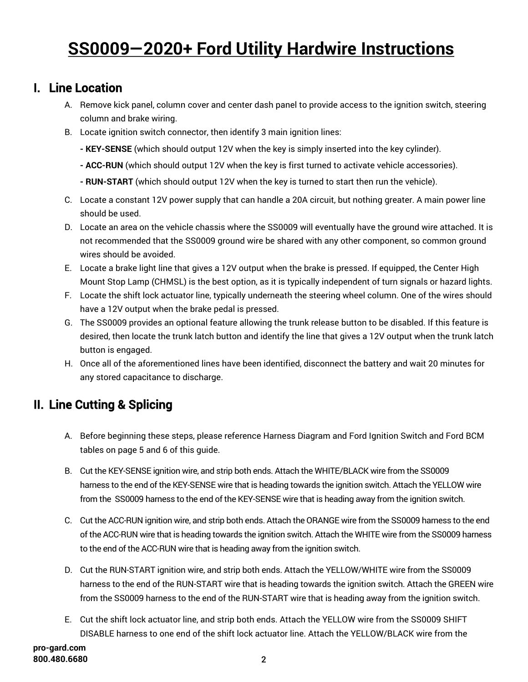## **SS0009—2020+ Ford Utility Hardwire Instructions**

### I. Line Location

- A. Remove kick panel, column cover and center dash panel to provide access to the ignition switch, steering column and brake wiring.
- B. Locate ignition switch connector, then identify 3 main ignition lines:
	- **- KEY-SENSE** (which should output 12V when the key is simply inserted into the key cylinder).
	- **- ACC-RUN** (which should output 12V when the key is first turned to activate vehicle accessories).
	- **- RUN-START** (which should output 12V when the key is turned to start then run the vehicle).
- C. Locate a constant 12V power supply that can handle a 20A circuit, but nothing greater. A main power line should be used.
- D. Locate an area on the vehicle chassis where the SS0009 will eventually have the ground wire attached. It is not recommended that the SS0009 ground wire be shared with any other component, so common ground wires should be avoided.
- E. Locate a brake light line that gives a 12V output when the brake is pressed. If equipped, the Center High Mount Stop Lamp (CHMSL) is the best option, as it is typically independent of turn signals or hazard lights.
- F. Locate the shift lock actuator line, typically underneath the steering wheel column. One of the wires should have a 12V output when the brake pedal is pressed.
- G. The SS0009 provides an optional feature allowing the trunk release button to be disabled. If this feature is desired, then locate the trunk latch button and identify the line that gives a 12V output when the trunk latch button is engaged.
- H. Once all of the aforementioned lines have been identified, disconnect the battery and wait 20 minutes for any stored capacitance to discharge.

## II. Line Cutting & Splicing

- A. Before beginning these steps, please reference Harness Diagram and Ford Ignition Switch and Ford BCM tables on page 5 and 6 of this guide.
- B. Cut the KEY-SENSE ignition wire, and strip both ends. Attach the WHITE/BLACK wire from the SS0009 harness to the end of the KEY-SENSE wire that is heading towards the ignition switch. Attach the YELLOW wire from the SS0009 harness to the end of the KEY-SENSE wire that is heading away from the ignition switch.
- C. Cut the ACC-RUN ignition wire, and strip both ends. Attach the ORANGE wire from the SS0009 harness to the end of the ACC-RUN wire that is heading towards the ignition switch. Attach the WHITE wire from the SS0009 harness to the end of the ACC-RUN wire that is heading away from the ignition switch.
- D. Cut the RUN-START ignition wire, and strip both ends. Attach the YELLOW/WHITE wire from the SS0009 harness to the end of the RUN-START wire that is heading towards the ignition switch. Attach the GREEN wire from the SS0009 harness to the end of the RUN-START wire that is heading away from the ignition switch.
- E. Cut the shift lock actuator line, and strip both ends. Attach the YELLOW wire from the SS0009 SHIFT DISABLE harness to one end of the shift lock actuator line. Attach the YELLOW/BLACK wire from the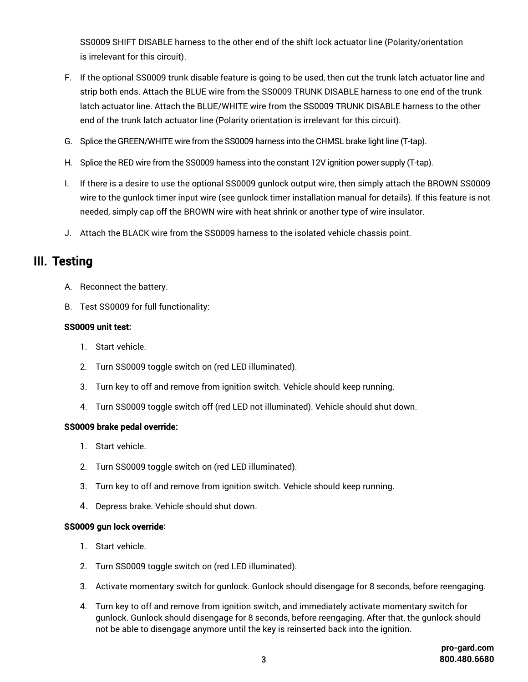SS0009 SHIFT DISABLE harness to the other end of the shift lock actuator line (Polarity/orientation is irrelevant for this circuit).

- F. If the optional SS0009 trunk disable feature is going to be used, then cut the trunk latch actuator line and strip both ends. Attach the BLUE wire from the SS0009 TRUNK DISABLE harness to one end of the trunk latch actuator line. Attach the BLUE/WHITE wire from the SS0009 TRUNK DISABLE harness to the other end of the trunk latch actuator line (Polarity orientation is irrelevant for this circuit).
- G. Splice the GREEN/WHITE wire from the SS0009 harness into the CHMSL brake light line (T-tap).
- H. Splice the RED wire from the SS0009 harness into the constant 12V ignition power supply (T-tap).
- I. If there is a desire to use the optional SS0009 gunlock output wire, then simply attach the BROWN SS0009 wire to the gunlock timer input wire (see gunlock timer installation manual for details). If this feature is not needed, simply cap off the BROWN wire with heat shrink or another type of wire insulator.
- J. Attach the BLACK wire from the SS0009 harness to the isolated vehicle chassis point.

### III. Testing

- A. Reconnect the battery.
- B. Test SS0009 for full functionality:

### SS0009 unit test**:**

- 1. Start vehicle.
- 2. Turn SS0009 toggle switch on (red LED illuminated).
- 3. Turn key to off and remove from ignition switch. Vehicle should keep running.
- 4. Turn SS0009 toggle switch off (red LED not illuminated). Vehicle should shut down.

### SS0009 brake pedal override**:**

- 1. Start vehicle.
- 2. Turn SS0009 toggle switch on (red LED illuminated).
- 3. Turn key to off and remove from ignition switch. Vehicle should keep running.
- 4. Depress brake. Vehicle should shut down.

#### SS0009 gun lock override**:**

- 1. Start vehicle.
- 2. Turn SS0009 toggle switch on (red LED illuminated).
- 3. Activate momentary switch for gunlock. Gunlock should disengage for 8 seconds, before reengaging.
- 4. Turn key to off and remove from ignition switch, and immediately activate momentary switch for gunlock. Gunlock should disengage for 8 seconds, before reengaging. After that, the gunlock should not be able to disengage anymore until the key is reinserted back into the ignition.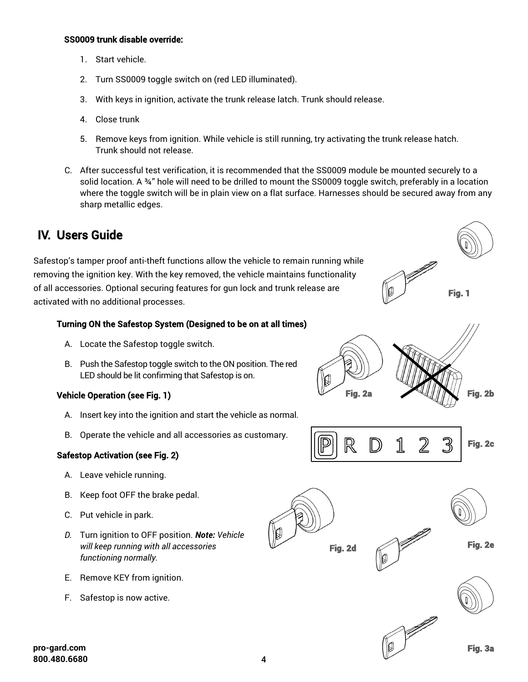#### SS0009 trunk disable override:

- 1. Start vehicle.
- 2. Turn SS0009 toggle switch on (red LED illuminated).
- 3. With keys in ignition, activate the trunk release latch. Trunk should release.
- 4. Close trunk
- 5. Remove keys from ignition. While vehicle is still running, try activating the trunk release hatch. Trunk should not release.
- C. After successful test verification, it is recommended that the SS0009 module be mounted securely to a solid location. A ¾" hole will need to be drilled to mount the SS0009 toggle switch, preferably in a location where the toggle switch will be in plain view on a flat surface. Harnesses should be secured away from any sharp metallic edges.

### IV. Users Guide

Safestop's tamper proof anti-theft functions allow the vehicle to remain running while removing the ignition key. With the key removed, the vehicle maintains functionality of all accessories. Optional securing features for gun lock and trunk release are activated with no additional processes.

### Turning ON the Safestop System (Designed to be on at all times)

- A. Locate the Safestop toggle switch.
- B. Push the Safestop toggle switch to the ON position. The red LED should be lit confirming that Safestop is on.

### Vehicle Operation (see Fig. 1)

- A. Insert key into the ignition and start the vehicle as normal.
- B. Operate the vehicle and all accessories as customary.

### Safestop Activation (see Fig. 2)

- A. Leave vehicle running.
- B. Keep foot OFF the brake pedal.
- C. Put vehicle in park.
- *D.* Turn ignition to OFF position. *Note: Vehicle will keep running with all accessories functioning normally.*
- E. Remove KEY from ignition.
- F. Safestop is now active.



Fig. 1

Fig. 3a



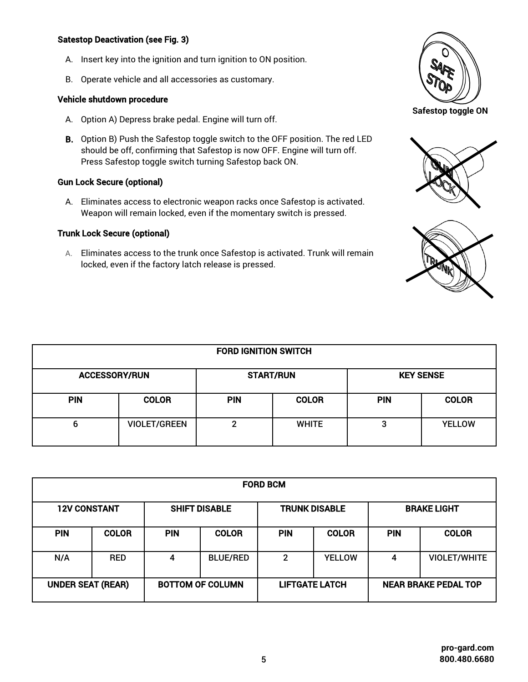### Satestop Deactivation (see Fig. 3)

- A. Insert key into the ignition and turn ignition to ON position.
- B. Operate vehicle and all accessories as customary.

#### Vehicle shutdown procedure

- A. Option A) Depress brake pedal. Engine will turn off.
- B. Option B) Push the Safestop toggle switch to the OFF position. The red LED should be off, confirming that Safestop is now OFF. Engine will turn off. Press Safestop toggle switch turning Safestop back ON.

### Gun Lock Secure (optional)

A. Eliminates access to electronic weapon racks once Safestop is activated. Weapon will remain locked, even if the momentary switch is pressed.

### Trunk Lock Secure (optional)

A. Eliminates access to the trunk once Safestop is activated. Trunk will remain locked, even if the factory latch release is pressed.







| <b>FORD IGNITION SWITCH</b> |                     |                  |              |                  |               |  |  |  |  |
|-----------------------------|---------------------|------------------|--------------|------------------|---------------|--|--|--|--|
| <b>ACCESSORY/RUN</b>        |                     | <b>START/RUN</b> |              | <b>KEY SENSE</b> |               |  |  |  |  |
| <b>PIN</b>                  | <b>COLOR</b>        | <b>PIN</b>       | <b>COLOR</b> | <b>PIN</b>       | <b>COLOR</b>  |  |  |  |  |
| 6                           | <b>VIOLET/GREEN</b> | າ                | <b>WHITE</b> | 3                | <b>YELLOW</b> |  |  |  |  |

| <b>FORD BCM</b>          |              |                         |                 |                       |               |                             |                     |  |  |  |
|--------------------------|--------------|-------------------------|-----------------|-----------------------|---------------|-----------------------------|---------------------|--|--|--|
| <b>12V CONSTANT</b>      |              | <b>SHIFT DISABLE</b>    |                 | <b>TRUNK DISABLE</b>  |               | <b>BRAKE LIGHT</b>          |                     |  |  |  |
| <b>PIN</b>               | <b>COLOR</b> | <b>PIN</b>              | <b>COLOR</b>    | <b>PIN</b>            | <b>COLOR</b>  | <b>PIN</b>                  | <b>COLOR</b>        |  |  |  |
| N/A                      | <b>RED</b>   | 4                       | <b>BLUE/RED</b> | $\mathbf{2}$          | <b>YELLOW</b> | 4                           | <b>VIOLET/WHITE</b> |  |  |  |
| <b>UNDER SEAT (REAR)</b> |              | <b>BOTTOM OF COLUMN</b> |                 | <b>LIFTGATE LATCH</b> |               | <b>NEAR BRAKE PEDAL TOP</b> |                     |  |  |  |